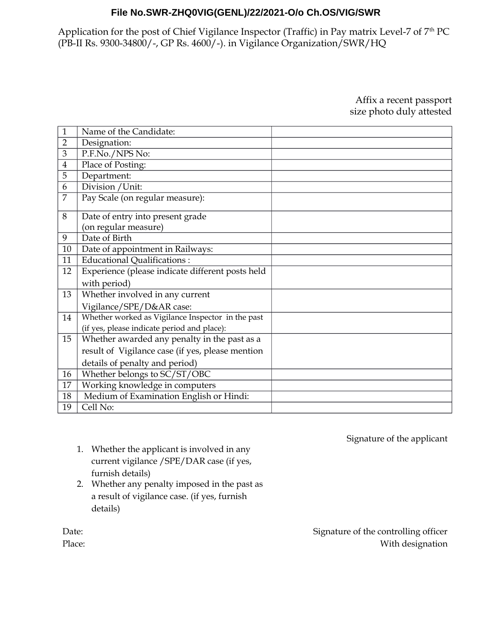Application for the post of Chief Vigilance Inspector (Traffic) in Pay matrix Level-7 of 7<sup>th</sup> PC (PB-II Rs. 9300-34800/-, GP Rs. 4600/-). in Vigilance Organization/SWR/HQ

> Affix a recent passport size photo duly attested

| 1              | Name of the Candidate:                            |  |
|----------------|---------------------------------------------------|--|
| $\overline{2}$ | Designation:                                      |  |
| 3              | P.F.No./NPS No:                                   |  |
| $\overline{4}$ | Place of Posting:                                 |  |
| 5              | Department:                                       |  |
| 6              | Division / Unit:                                  |  |
| 7              | Pay Scale (on regular measure):                   |  |
| 8              | Date of entry into present grade                  |  |
|                | (on regular measure)                              |  |
| 9              | Date of Birth                                     |  |
| 10             | Date of appointment in Railways:                  |  |
| 11             | <b>Educational Qualifications:</b>                |  |
| 12             | Experience (please indicate different posts held  |  |
|                | with period)                                      |  |
| 13             | Whether involved in any current                   |  |
|                | Vigilance/SPE/D&AR case:                          |  |
| 14             | Whether worked as Vigilance Inspector in the past |  |
|                | (if yes, please indicate period and place):       |  |
| 15             | Whether awarded any penalty in the past as a      |  |
|                | result of Vigilance case (if yes, please mention  |  |
|                | details of penalty and period)                    |  |
| 16             | Whether belongs to SC/ST/OBC                      |  |
| 17             | Working knowledge in computers                    |  |
| 18             | Medium of Examination English or Hindi:           |  |
| 19             | Cell No:                                          |  |

Signature of the applicant

- 1. Whether the applicant is involved in any current vigilance /SPE/DAR case (if yes, furnish details)
- 2. Whether any penalty imposed in the past as a result of vigilance case. (if yes, furnish details)

Signature of the controlling officer With designation

Date:

Place: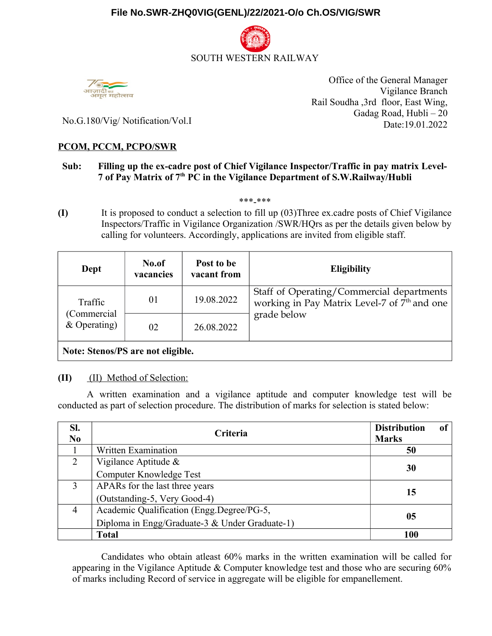



Office of the General Manager Vigilance Branch Rail Soudha ,3rd floor, East Wing, Gadag Road, Hubli – 20 Date:19.01.2022

No.G.180/Vig/ Notification/Vol.I

### **PCOM, PCCM, PCPO/SWR**

### **Sub: Filling up the ex-cadre post of Chief Vigilance Inspector/Traffic in pay matrix Level-7 of Pay Matrix of 7th PC in the Vigilance Department of S.W.Railway/Hubli**

\*\*\*-\*\*\*

**(I)** It is proposed to conduct a selection to fill up (03)Three ex.cadre posts of Chief Vigilance Inspectors/Traffic in Vigilance Organization /SWR/HQrs as per the details given below by calling for volunteers. Accordingly, applications are invited from eligible staff.

| Dept                              | No.of<br>vacancies | Post to be<br>vacant from | <b>Eligibility</b>                                                                                                   |  |  |  |
|-----------------------------------|--------------------|---------------------------|----------------------------------------------------------------------------------------------------------------------|--|--|--|
| Traffic                           | 01                 | 19.08.2022                | Staff of Operating/Commercial departments<br>working in Pay Matrix Level-7 of 7 <sup>th</sup> and one<br>grade below |  |  |  |
| (Commercial<br>$&$ Operating)     | 02                 | 26.08.2022                |                                                                                                                      |  |  |  |
| Note: Stenos/PS are not eligible. |                    |                           |                                                                                                                      |  |  |  |

## **(II)** (II) Method of Selection:

A written examination and a vigilance aptitude and computer knowledge test will be conducted as part of selection procedure. The distribution of marks for selection is stated below:

| SI.<br>N <sub>0</sub> | Criteria                                       | <b>Distribution</b><br>of<br><b>Marks</b> |  |
|-----------------------|------------------------------------------------|-------------------------------------------|--|
|                       | Written Examination                            | 50                                        |  |
| $\overline{2}$        | Vigilance Aptitude $\&$                        | 30                                        |  |
|                       | Computer Knowledge Test                        |                                           |  |
| 3                     | APARs for the last three years                 |                                           |  |
|                       | (Outstanding-5, Very Good-4)                   | 15                                        |  |
| $\overline{4}$        | Academic Qualification (Engg.Degree/PG-5,      | 05                                        |  |
|                       | Diploma in Engg/Graduate-3 & Under Graduate-1) |                                           |  |
|                       | <b>Total</b>                                   | 100                                       |  |

Candidates who obtain atleast 60% marks in the written examination will be called for appearing in the Vigilance Aptitude & Computer knowledge test and those who are securing 60% of marks including Record of service in aggregate will be eligible for empanellement.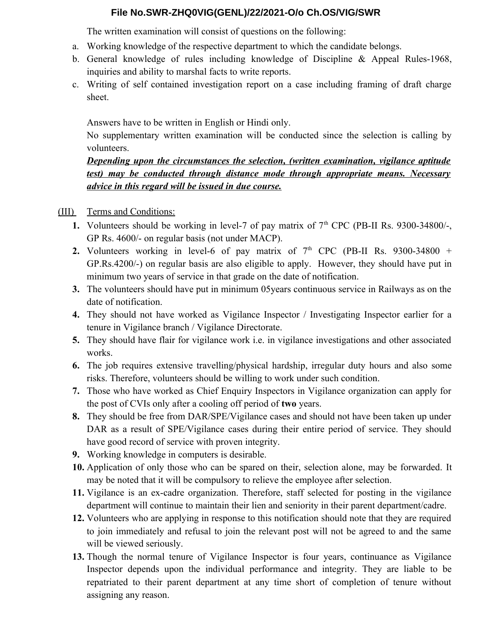The written examination will consist of questions on the following:

- a. Working knowledge of the respective department to which the candidate belongs.
- b. General knowledge of rules including knowledge of Discipline & Appeal Rules-1968, inquiries and ability to marshal facts to write reports.
- c. Writing of self contained investigation report on a case including framing of draft charge sheet.

Answers have to be written in English or Hindi only.

No supplementary written examination will be conducted since the selection is calling by volunteers.

# *Depending upon the circumstances the selection, (written examination, vigilance aptitude test) may be conducted through distance mode through appropriate means. Necessary advice in this regard will be issued in due course.*

## (III) Terms and Conditions:

- **1.** Volunteers should be working in level-7 of pay matrix of  $7<sup>th</sup>$  CPC (PB-II Rs. 9300-34800/-, GP Rs. 4600/- on regular basis (not under MACP).
- **2.** Volunteers working in level-6 of pay matrix of  $7<sup>th</sup>$  CPC (PB-II Rs. 9300-34800 + GP.Rs.4200/-) on regular basis are also eligible to apply. However, they should have put in minimum two years of service in that grade on the date of notification.
- **3.** The volunteers should have put in minimum 05years continuous service in Railways as on the date of notification.
- **4.** They should not have worked as Vigilance Inspector / Investigating Inspector earlier for a tenure in Vigilance branch / Vigilance Directorate.
- **5.** They should have flair for vigilance work i.e. in vigilance investigations and other associated works.
- **6.** The job requires extensive travelling/physical hardship, irregular duty hours and also some risks. Therefore, volunteers should be willing to work under such condition.
- **7.** Those who have worked as Chief Enquiry Inspectors in Vigilance organization can apply for the post of CVIs only after a cooling off period of **two** years.
- **8.** They should be free from DAR/SPE/Vigilance cases and should not have been taken up under DAR as a result of SPE/Vigilance cases during their entire period of service. They should have good record of service with proven integrity.
- **9.** Working knowledge in computers is desirable.
- **10.** Application of only those who can be spared on their, selection alone, may be forwarded. It may be noted that it will be compulsory to relieve the employee after selection.
- **11.** Vigilance is an ex-cadre organization. Therefore, staff selected for posting in the vigilance department will continue to maintain their lien and seniority in their parent department/cadre.
- **12.** Volunteers who are applying in response to this notification should note that they are required to join immediately and refusal to join the relevant post will not be agreed to and the same will be viewed seriously.
- **13.** Though the normal tenure of Vigilance Inspector is four years, continuance as Vigilance Inspector depends upon the individual performance and integrity. They are liable to be repatriated to their parent department at any time short of completion of tenure without assigning any reason.